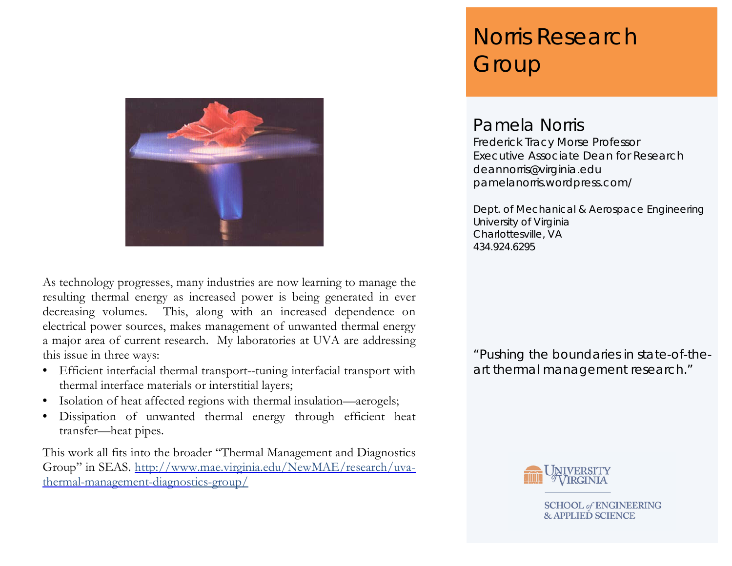

As technology progresses, many industries are now learning to manage the resulting thermal energy as increased power is being generated in ever decreasing volumes. This, along with an increased dependence on electrical power sources, makes management of unwanted thermal energy a major area of current research. My laboratories at UVA are addressing this issue in three ways:

- Efficient interfacial thermal transport--tuning interfacial transport with thermal interface materials or interstitial layers;
- Isolation of heat affected regions with thermal insulation—aerogels;
- Dissipation of unwanted thermal energy through efficient heat transfer—heat pipes.

This work all fits into the broader "Thermal Management and Diagnostics Group" in SEAS. [http://www.mae.virginia.edu/NewMAE/research/uva](http://www.mae.virginia.edu/NewMAE/research/uva-thermal-management-diagnostics-group/)[thermal-management-diagnostics-group/](http://www.mae.virginia.edu/NewMAE/research/uva-thermal-management-diagnostics-group/)

# Norris Research **Group**

## Pamela Norris

Frederick Tracy Morse Professor Executive Associate Dean for Research deannorris@virginia.edu pamelanorris.wordpress.com/

Dept. of Mechanical & Aerospace Engineering University of Virginia Charlottesville, VA 434.924.6295

"Pushing the boundaries in state-of-theart thermal management research."



**SCHOOL of ENGINEERING & APPLIED SCIENCE**